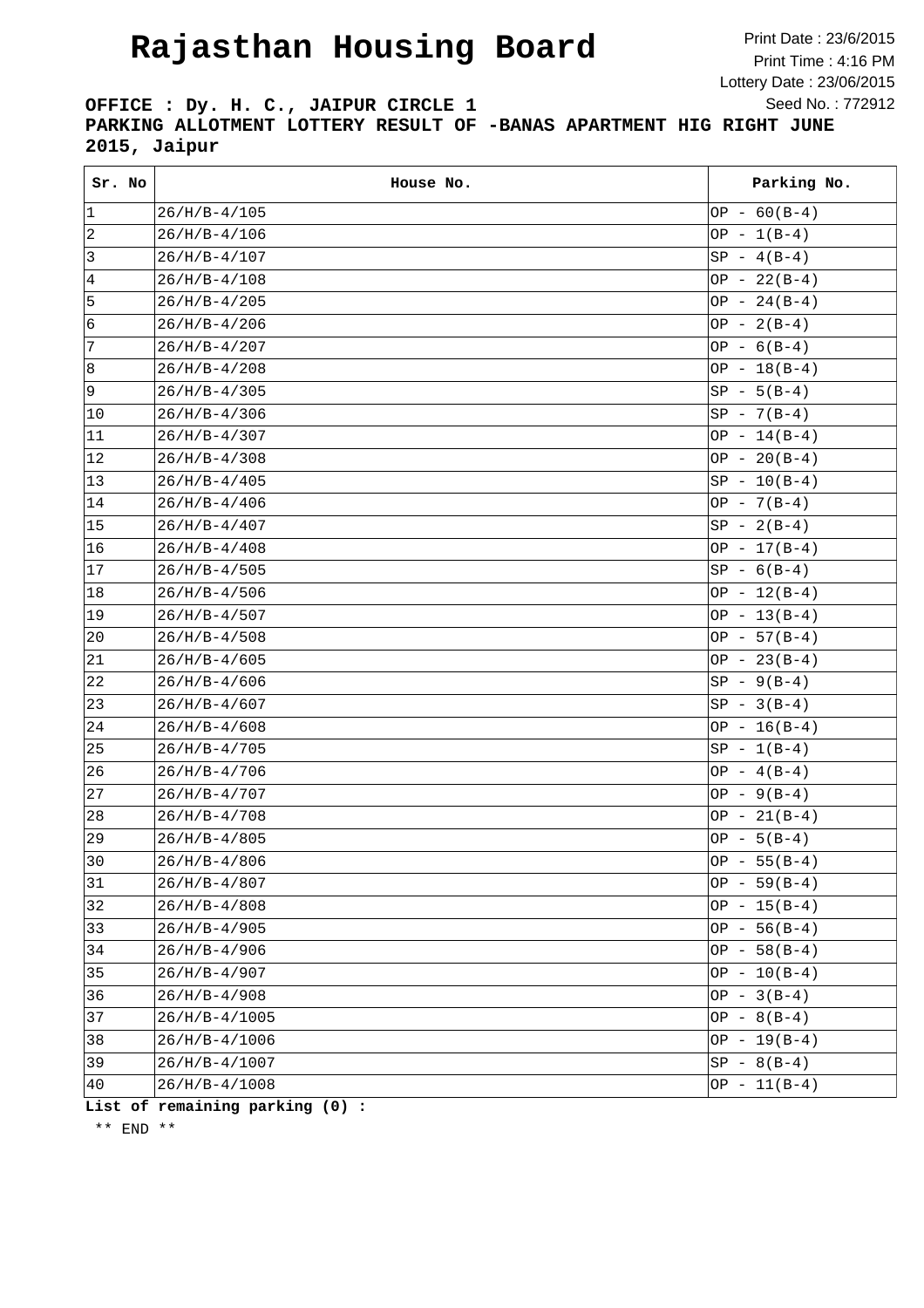## **Rajasthan Housing Board**

Print Date : 23/6/2015 Print Time : 4:16 PM Lottery Date : 23/06/2015 Seed No. : 772912

**OFFICE : Dy. H. C., JAIPUR CIRCLE 1 PARKING ALLOTMENT LOTTERY RESULT OF -BANAS APARTMENT HIG RIGHT JUNE 2015, Jaipur**

| Sr. No       | House No.       | Parking No.    |
|--------------|-----------------|----------------|
| $ 1\rangle$  | $26/H/B-4/105$  | OP - $60(B-4)$ |
| 2            | $26/H/B-4/106$  | $OP - 1(B-4)$  |
| 3            | $26/H/B-4/107$  | $SP - 4(B-4)$  |
| 4            | $26/H/B-4/108$  | $OP - 22(B-4)$ |
| 5            | $26/H/B-4/205$  | OP - $24(B-4)$ |
| 6            | $26/H/B-4/206$  | OP - $2(B-4)$  |
| 7            | $26/H/B-4/207$  | OP - $6(B-4)$  |
| 8            | $26/H/B-4/208$  | OP $-18(B-4)$  |
| 9            | $26/H/B-4/305$  | $SP - 5(B-4)$  |
| 10           | $26/H/B-4/306$  | $SP - 7(B-4)$  |
| 11           | $26/H/B-4/307$  | $OP - 14(B-4)$ |
| 12           | $26/H/B-4/308$  | $OP - 20(B-4)$ |
| $ 13\rangle$ | $26/H/B-4/405$  | $SP - 10(B-4)$ |
| 14           | $26/H/B-4/406$  | OP - $7(B-4)$  |
| 15           | $26/H/B-4/407$  | $SP - 2(B-4)$  |
| 16           | $26/H/B-4/408$  | $OP - 17(B-4)$ |
| 17           | $26/H/B-4/505$  | $SP - 6(B-4)$  |
| 18           | $26/H/B-4/506$  | $OP - 12(B-4)$ |
| 19           | $26/H/B-4/507$  | $OP - 13(B-4)$ |
| $ 20\rangle$ | $26/H/B-4/508$  | $OP - 57(B-4)$ |
| 21           | $26/H/B-4/605$  | $OP - 23(B-4)$ |
| 22           | $26/H/B-4/606$  | $SP - 9(B-4)$  |
| 23           | $26/H/B-4/607$  | $SP - 3(B-4)$  |
| 24           | $26/H/B-4/608$  | OP $-16(B-4)$  |
| 25           | $26/H/B-4/705$  | $SP - 1(B-4)$  |
| 26           | $26/H/B-4/706$  | $OP - 4(B-4)$  |
| 27           | $26/H/B-4/707$  | OP - $9(B-4)$  |
| 28           | $26/H/B-4/708$  | $OP - 21(B-4)$ |
| 29           | $26/H/B-4/805$  | OP $-5(B-4)$   |
| 30           | $26/H/B-4/806$  | $OP - 55(B-4)$ |
| 31           | $26/H/B-4/807$  | $OP - 59(B-4)$ |
| 32           | $26/H/B-4/808$  | $OP - 15(B-4)$ |
| $ 33\rangle$ | $26/H/B-4/905$  | OP $-56(B-4)$  |
| 34           | $26/H/B-4/906$  | OP $-58(B-4)$  |
| 35           | $26/H/B-4/907$  | $OP - 10(B-4)$ |
| 36           | $26/H/B-4/908$  | OP $-3(B-4)$   |
| 37           | $26/H/B-4/1005$ | OP $- 8(B-4)$  |
| 38           | $26/H/B-4/1006$ | OP $-19(B-4)$  |
| 39           | 26/H/B-4/1007   | $SP - 8(B-4)$  |
| 40           | $26/H/B-4/1008$ | $OP - 11(B-4)$ |

**List of remaining parking (0) :**

\*\* END \*\*